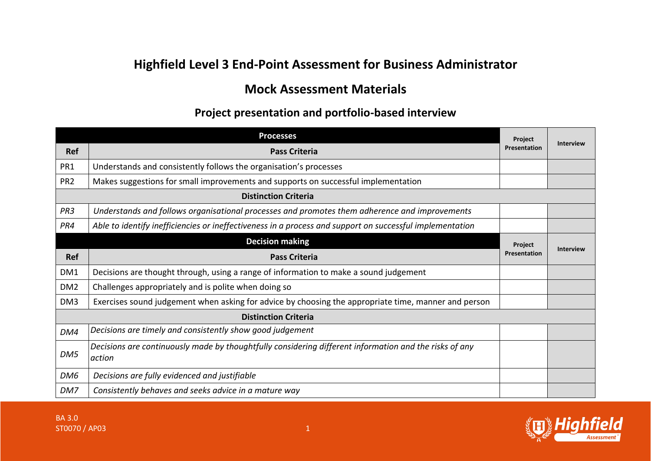## **Highfield Level 3 End-Point Assessment for Business Administrator**

## **Mock Assessment Materials**

## **Project presentation and portfolio-based interview**

|                 | <b>Processes</b>                                                                                                 | <b>Project</b> |                  |
|-----------------|------------------------------------------------------------------------------------------------------------------|----------------|------------------|
| <b>Ref</b>      | <b>Pass Criteria</b>                                                                                             | Presentation   | <b>Interview</b> |
| PR1             | Understands and consistently follows the organisation's processes                                                |                |                  |
| PR <sub>2</sub> | Makes suggestions for small improvements and supports on successful implementation                               |                |                  |
|                 | <b>Distinction Criteria</b>                                                                                      |                |                  |
| PR <sub>3</sub> | Understands and follows organisational processes and promotes them adherence and improvements                    |                |                  |
| PR4             | Able to identify inefficiencies or ineffectiveness in a process and support on successful implementation         |                |                  |
|                 | <b>Decision making</b>                                                                                           | Project        | <b>Interview</b> |
| Ref             | <b>Pass Criteria</b>                                                                                             | Presentation   |                  |
| DM1             | Decisions are thought through, using a range of information to make a sound judgement                            |                |                  |
| DM <sub>2</sub> | Challenges appropriately and is polite when doing so                                                             |                |                  |
| DM3             | Exercises sound judgement when asking for advice by choosing the appropriate time, manner and person             |                |                  |
|                 | <b>Distinction Criteria</b>                                                                                      |                |                  |
| DM4             | Decisions are timely and consistently show good judgement                                                        |                |                  |
| DM5             | Decisions are continuously made by thoughtfully considering different information and the risks of any<br>action |                |                  |
| DM6             | Decisions are fully evidenced and justifiable                                                                    |                |                  |
| DM7             | Consistently behaves and seeks advice in a mature way                                                            |                |                  |



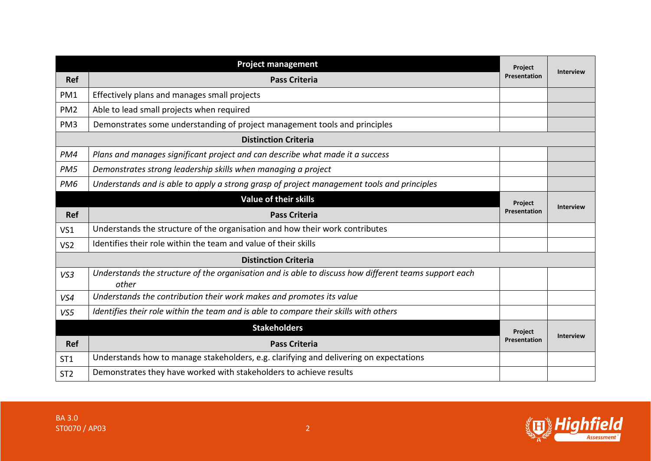|                 | <b>Project management</b>                                                                                      | Project      | <b>Interview</b> |
|-----------------|----------------------------------------------------------------------------------------------------------------|--------------|------------------|
| <b>Ref</b>      | <b>Pass Criteria</b>                                                                                           | Presentation |                  |
| PM1             | Effectively plans and manages small projects                                                                   |              |                  |
| PM <sub>2</sub> | Able to lead small projects when required                                                                      |              |                  |
| PM <sub>3</sub> | Demonstrates some understanding of project management tools and principles                                     |              |                  |
|                 | <b>Distinction Criteria</b>                                                                                    |              |                  |
| PM4             | Plans and manages significant project and can describe what made it a success                                  |              |                  |
| PM <sub>5</sub> | Demonstrates strong leadership skills when managing a project                                                  |              |                  |
| PM <sub>6</sub> | Understands and is able to apply a strong grasp of project management tools and principles                     |              |                  |
|                 | <b>Value of their skills</b>                                                                                   | Project      | <b>Interview</b> |
| <b>Ref</b>      | <b>Pass Criteria</b>                                                                                           | Presentation |                  |
| VS1             | Understands the structure of the organisation and how their work contributes                                   |              |                  |
| VS <sub>2</sub> | Identifies their role within the team and value of their skills                                                |              |                  |
|                 | <b>Distinction Criteria</b>                                                                                    |              |                  |
| VS3             | Understands the structure of the organisation and is able to discuss how different teams support each<br>other |              |                  |
| VS4             | Understands the contribution their work makes and promotes its value                                           |              |                  |
| VS5             | Identifies their role within the team and is able to compare their skills with others                          |              |                  |
|                 | <b>Stakeholders</b>                                                                                            | Project      |                  |
| <b>Ref</b>      | <b>Pass Criteria</b>                                                                                           | Presentation | <b>Interview</b> |
| ST <sub>1</sub> | Understands how to manage stakeholders, e.g. clarifying and delivering on expectations                         |              |                  |
| ST <sub>2</sub> | Demonstrates they have worked with stakeholders to achieve results                                             |              |                  |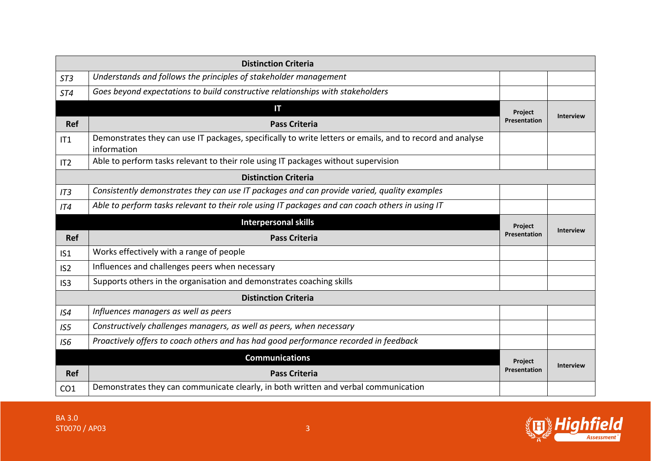| <b>Distinction Criteria</b> |                                                                                                                          |                         |                  |
|-----------------------------|--------------------------------------------------------------------------------------------------------------------------|-------------------------|------------------|
| ST <sub>3</sub>             | Understands and follows the principles of stakeholder management                                                         |                         |                  |
| <b>ST4</b>                  | Goes beyond expectations to build constructive relationships with stakeholders                                           |                         |                  |
|                             | IΤ                                                                                                                       | Project<br>Presentation | <b>Interview</b> |
| <b>Ref</b>                  | <b>Pass Criteria</b>                                                                                                     |                         |                  |
| IT1                         | Demonstrates they can use IT packages, specifically to write letters or emails, and to record and analyse<br>information |                         |                  |
| IT2                         | Able to perform tasks relevant to their role using IT packages without supervision                                       |                         |                  |
|                             | <b>Distinction Criteria</b>                                                                                              |                         |                  |
| IT3                         | Consistently demonstrates they can use IT packages and can provide varied, quality examples                              |                         |                  |
| IT4                         | Able to perform tasks relevant to their role using IT packages and can coach others in using IT                          |                         |                  |
|                             | <b>Interpersonal skills</b>                                                                                              | Project<br>Presentation | <b>Interview</b> |
| <b>Ref</b>                  | <b>Pass Criteria</b>                                                                                                     |                         |                  |
| IS <sub>1</sub>             | Works effectively with a range of people                                                                                 |                         |                  |
| IS <sub>2</sub>             | Influences and challenges peers when necessary                                                                           |                         |                  |
| IS <sub>3</sub>             | Supports others in the organisation and demonstrates coaching skills                                                     |                         |                  |
|                             | <b>Distinction Criteria</b>                                                                                              |                         |                  |
| IS4                         | Influences managers as well as peers                                                                                     |                         |                  |
| IS <sub>5</sub>             | Constructively challenges managers, as well as peers, when necessary                                                     |                         |                  |
| IS6                         | Proactively offers to coach others and has had good performance recorded in feedback                                     |                         |                  |
|                             | <b>Communications</b>                                                                                                    | Project                 | <b>Interview</b> |
| <b>Ref</b>                  | <b>Pass Criteria</b>                                                                                                     | Presentation            |                  |
|                             |                                                                                                                          |                         |                  |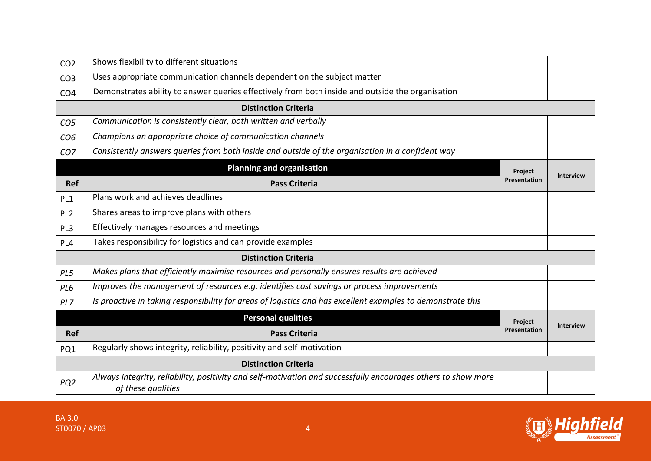| CO <sub>2</sub>             | Shows flexibility to different situations                                                                                           |                                |                  |  |
|-----------------------------|-------------------------------------------------------------------------------------------------------------------------------------|--------------------------------|------------------|--|
| CO <sub>3</sub>             | Uses appropriate communication channels dependent on the subject matter                                                             |                                |                  |  |
| CO <sub>4</sub>             | Demonstrates ability to answer queries effectively from both inside and outside the organisation                                    |                                |                  |  |
|                             | <b>Distinction Criteria</b>                                                                                                         |                                |                  |  |
| CO <sub>5</sub>             | Communication is consistently clear, both written and verbally                                                                      |                                |                  |  |
| CO <sub>6</sub>             | Champions an appropriate choice of communication channels                                                                           |                                |                  |  |
| CO <sub>7</sub>             | Consistently answers queries from both inside and outside of the organisation in a confident way                                    |                                |                  |  |
|                             | <b>Planning and organisation</b>                                                                                                    | Project                        |                  |  |
| <b>Ref</b>                  | <b>Pass Criteria</b>                                                                                                                | Presentation                   | <b>Interview</b> |  |
| PL1                         | Plans work and achieves deadlines                                                                                                   |                                |                  |  |
| PL <sub>2</sub>             | Shares areas to improve plans with others                                                                                           |                                |                  |  |
| PL <sub>3</sub>             | Effectively manages resources and meetings                                                                                          |                                |                  |  |
| PL <sub>4</sub>             | Takes responsibility for logistics and can provide examples                                                                         |                                |                  |  |
|                             | <b>Distinction Criteria</b>                                                                                                         |                                |                  |  |
| PL5                         | Makes plans that efficiently maximise resources and personally ensures results are achieved                                         |                                |                  |  |
| PL6                         | Improves the management of resources e.g. identifies cost savings or process improvements                                           |                                |                  |  |
| PL7                         | Is proactive in taking responsibility for areas of logistics and has excellent examples to demonstrate this                         |                                |                  |  |
|                             | <b>Personal qualities</b>                                                                                                           | Project<br><b>Presentation</b> | <b>Interview</b> |  |
| Ref                         | <b>Pass Criteria</b>                                                                                                                |                                |                  |  |
| PQ1                         | Regularly shows integrity, reliability, positivity and self-motivation                                                              |                                |                  |  |
| <b>Distinction Criteria</b> |                                                                                                                                     |                                |                  |  |
| PQ <sub>2</sub>             | Always integrity, reliability, positivity and self-motivation and successfully encourages others to show more<br>of these qualities |                                |                  |  |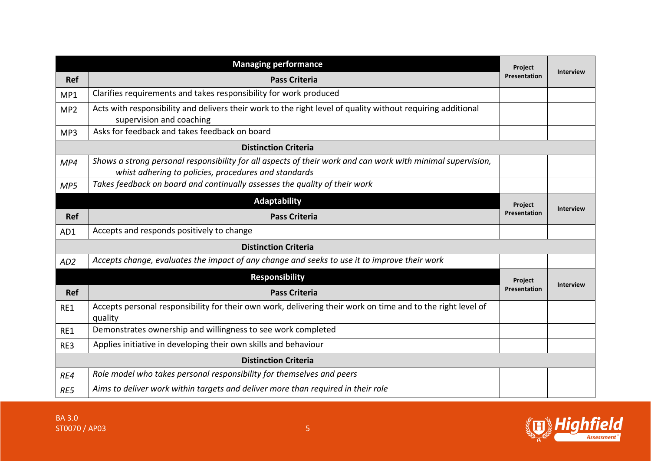|                             | <b>Managing performance</b>                                                                                                                                         | Project             |                  |
|-----------------------------|---------------------------------------------------------------------------------------------------------------------------------------------------------------------|---------------------|------------------|
| <b>Ref</b>                  | <b>Pass Criteria</b>                                                                                                                                                | Presentation        | <b>Interview</b> |
| MP1                         | Clarifies requirements and takes responsibility for work produced                                                                                                   |                     |                  |
| MP <sub>2</sub>             | Acts with responsibility and delivers their work to the right level of quality without requiring additional<br>supervision and coaching                             |                     |                  |
| MP3                         | Asks for feedback and takes feedback on board                                                                                                                       |                     |                  |
|                             | <b>Distinction Criteria</b>                                                                                                                                         |                     |                  |
| MP4                         | Shows a strong personal responsibility for all aspects of their work and can work with minimal supervision,<br>whist adhering to policies, procedures and standards |                     |                  |
| MP5                         | Takes feedback on board and continually assesses the quality of their work                                                                                          |                     |                  |
|                             | <b>Adaptability</b>                                                                                                                                                 | Project             | <b>Interview</b> |
| <b>Ref</b>                  | <b>Pass Criteria</b>                                                                                                                                                | <b>Presentation</b> |                  |
| AD1                         | Accepts and responds positively to change                                                                                                                           |                     |                  |
|                             | <b>Distinction Criteria</b>                                                                                                                                         |                     |                  |
| AD <sub>2</sub>             | Accepts change, evaluates the impact of any change and seeks to use it to improve their work                                                                        |                     |                  |
|                             | <b>Responsibility</b>                                                                                                                                               | Project             |                  |
| <b>Ref</b>                  | <b>Pass Criteria</b>                                                                                                                                                | Presentation        | <b>Interview</b> |
| RE1                         | Accepts personal responsibility for their own work, delivering their work on time and to the right level of<br>quality                                              |                     |                  |
| RE1                         | Demonstrates ownership and willingness to see work completed                                                                                                        |                     |                  |
| RE3                         | Applies initiative in developing their own skills and behaviour                                                                                                     |                     |                  |
| <b>Distinction Criteria</b> |                                                                                                                                                                     |                     |                  |
| RE4                         | Role model who takes personal responsibility for themselves and peers                                                                                               |                     |                  |
| RE5                         | Aims to deliver work within targets and deliver more than required in their role                                                                                    |                     |                  |

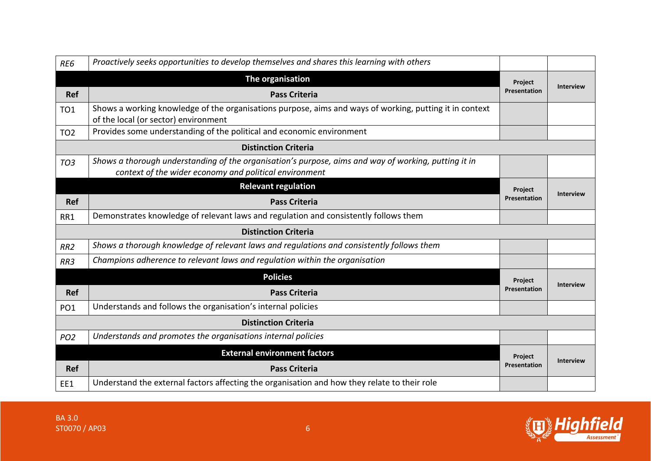| RE6             | Proactively seeks opportunities to develop themselves and shares this learning with others                                                                     |                     |                  |
|-----------------|----------------------------------------------------------------------------------------------------------------------------------------------------------------|---------------------|------------------|
|                 | The organisation                                                                                                                                               | Project             |                  |
| <b>Ref</b>      | <b>Pass Criteria</b>                                                                                                                                           | <b>Presentation</b> | <b>Interview</b> |
| <b>TO1</b>      | Shows a working knowledge of the organisations purpose, aims and ways of working, putting it in context<br>of the local (or sector) environment                |                     |                  |
| <b>TO2</b>      | Provides some understanding of the political and economic environment                                                                                          |                     |                  |
|                 | <b>Distinction Criteria</b>                                                                                                                                    |                     |                  |
| TO <sub>3</sub> | Shows a thorough understanding of the organisation's purpose, aims and way of working, putting it in<br>context of the wider economy and political environment |                     |                  |
|                 | <b>Relevant regulation</b>                                                                                                                                     | <b>Project</b>      | <b>Interview</b> |
| <b>Ref</b>      | <b>Pass Criteria</b>                                                                                                                                           | <b>Presentation</b> |                  |
| RR1             | Demonstrates knowledge of relevant laws and regulation and consistently follows them                                                                           |                     |                  |
|                 | <b>Distinction Criteria</b>                                                                                                                                    |                     |                  |
| RR <sub>2</sub> | Shows a thorough knowledge of relevant laws and regulations and consistently follows them                                                                      |                     |                  |
| RR3             | Champions adherence to relevant laws and regulation within the organisation                                                                                    |                     |                  |
|                 | <b>Policies</b>                                                                                                                                                | <b>Project</b>      |                  |
| <b>Ref</b>      | <b>Pass Criteria</b>                                                                                                                                           | Presentation        | <b>Interview</b> |
| PO <sub>1</sub> | Understands and follows the organisation's internal policies                                                                                                   |                     |                  |
|                 | <b>Distinction Criteria</b>                                                                                                                                    |                     |                  |
| PO <sub>2</sub> | Understands and promotes the organisations internal policies                                                                                                   |                     |                  |
|                 | <b>External environment factors</b>                                                                                                                            | <b>Project</b>      |                  |
| <b>Ref</b>      | <b>Pass Criteria</b>                                                                                                                                           | Presentation        | <b>Interview</b> |
| EE1             | Understand the external factors affecting the organisation and how they relate to their role                                                                   |                     |                  |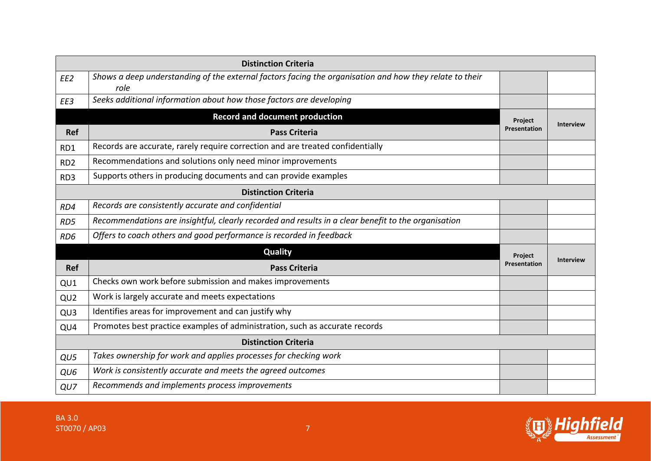| <b>Distinction Criteria</b> |                                                                                                                 |              |                  |
|-----------------------------|-----------------------------------------------------------------------------------------------------------------|--------------|------------------|
| EE <sub>2</sub>             | Shows a deep understanding of the external factors facing the organisation and how they relate to their<br>role |              |                  |
| EE3                         | Seeks additional information about how those factors are developing                                             |              |                  |
|                             | <b>Record and document production</b>                                                                           | Project      | <b>Interview</b> |
| <b>Ref</b>                  | <b>Pass Criteria</b>                                                                                            | Presentation |                  |
| RD1                         | Records are accurate, rarely require correction and are treated confidentially                                  |              |                  |
| RD <sub>2</sub>             | Recommendations and solutions only need minor improvements                                                      |              |                  |
| RD3                         | Supports others in producing documents and can provide examples                                                 |              |                  |
|                             | <b>Distinction Criteria</b>                                                                                     |              |                  |
| RD4                         | Records are consistently accurate and confidential                                                              |              |                  |
| RD5                         | Recommendations are insightful, clearly recorded and results in a clear benefit to the organisation             |              |                  |
| RD <sub>6</sub>             | Offers to coach others and good performance is recorded in feedback                                             |              |                  |
|                             | <b>Quality</b>                                                                                                  | Project      | <b>Interview</b> |
| <b>Ref</b>                  | <b>Pass Criteria</b>                                                                                            | Presentation |                  |
| QU1                         | Checks own work before submission and makes improvements                                                        |              |                  |
| QU2                         | Work is largely accurate and meets expectations                                                                 |              |                  |
| QU3                         | Identifies areas for improvement and can justify why                                                            |              |                  |
| QU4                         | Promotes best practice examples of administration, such as accurate records                                     |              |                  |
|                             | <b>Distinction Criteria</b>                                                                                     |              |                  |
| QU5                         | Takes ownership for work and applies processes for checking work                                                |              |                  |
| QU6                         | Work is consistently accurate and meets the agreed outcomes                                                     |              |                  |
| QU7                         | Recommends and implements process improvements                                                                  |              |                  |